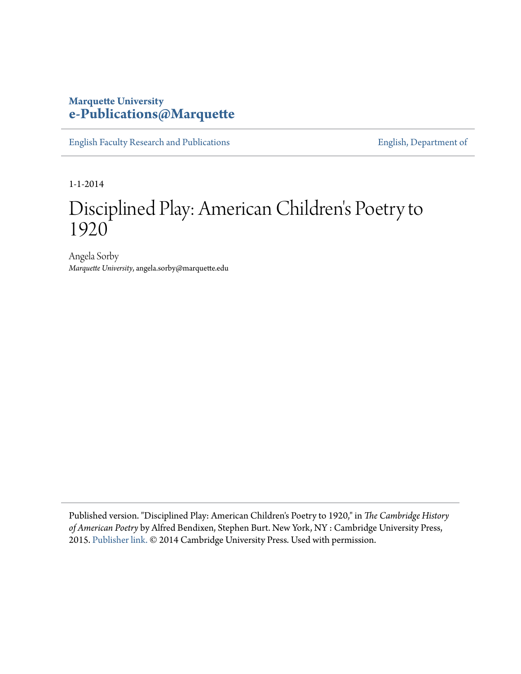# **Marquette University [e-Publications@Marquette](https://epublications.marquette.edu)**

[English Faculty Research and Publications](https://epublications.marquette.edu/english_fac) **[English, Department of](https://epublications.marquette.edu/english)** 

1-1-2014

# Disciplined Play: American Children 's Poetry to 1920

Angela Sorby *Marquette University*, angela.sorby@marquette.edu

Published version. "Disciplined Play: American Children's Poetry to 1920," in *The Cambridge History of American Poetry* by Alfred Bendixen, Stephen Burt. New York, NY : Cambridge University Press, 2015. [Publisher link.](https://doi.org/10.1017/CHO9780511762284) © 2014 Cambridge University Press. Used with permission.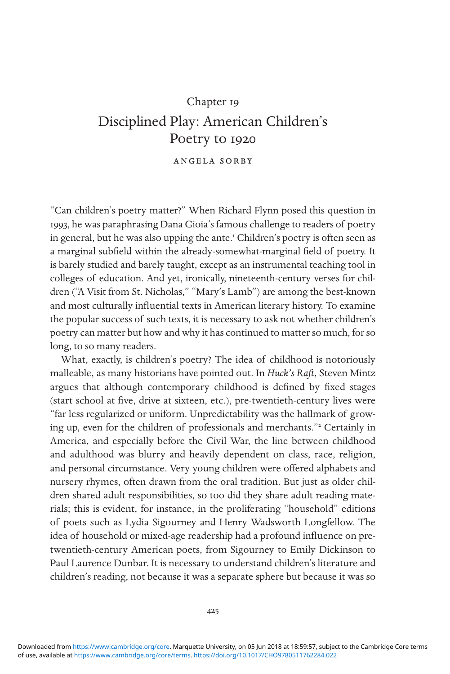# Chapter 19 Disciplined Play: American Children's Poetry to 1920

#### Angela Sorby

 "Can children's poetry matter?" When Richard Flynn posed this question in 1993, he was paraphrasing Dana Gioia's famous challenge to readers of poetry in general, but he was also upping the ante. <sup>1</sup> Children's poetry is often seen as a marginal subfield within the already-somewhat-marginal field of poetry. It is barely studied and barely taught, except as an instrumental teaching tool in colleges of education. And yet, ironically, nineteenth-century verses for children ("A Visit from St. Nicholas," "Mary's Lamb") are among the best-known and most culturally influential texts in American literary history. To examine the popular success of such texts, it is necessary to ask not whether children's poetry can matter but how and why it has continued to matter so much, for so long, to so many readers.

 What, exactly, is children's poetry? The idea of childhood is notoriously malleable, as many historians have pointed out. In *Huck's Raft* , Steven Mintz argues that although contemporary childhood is defined by fixed stages (start school at five, drive at sixteen, etc.), pre-twentieth-century lives were "far less regularized or uniform. Unpredictability was the hallmark of growing up, even for the children of professionals and merchants."<sup>2</sup> Certainly in America, and especially before the Civil War, the line between childhood and adulthood was blurry and heavily dependent on class, race, religion, and personal circumstance. Very young children were offered alphabets and nursery rhymes, often drawn from the oral tradition. But just as older children shared adult responsibilities, so too did they share adult reading materials; this is evident, for instance, in the proliferating "household" editions of poets such as Lydia Sigourney and Henry Wadsworth Longfellow. The idea of household or mixed-age readership had a profound influence on pretwentieth-century American poets, from Sigourney to Emily Dickinson to Paul Laurence Dunbar. It is necessary to understand children's literature and children's reading, not because it was a separate sphere but because it was so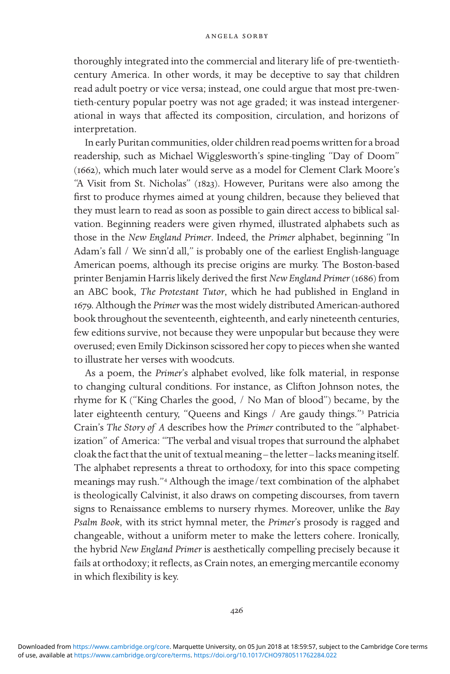thoroughly integrated into the commercial and literary life of pre-twentiethcentury America. In other words, it may be deceptive to say that children read adult poetry or vice versa; instead, one could argue that most pre-twentieth-century popular poetry was not age graded; it was instead intergenerational in ways that affected its composition, circulation, and horizons of interpretation.

 In early Puritan communities, older children read poems written for a broad readership, such as Michael Wigglesworth's spine-tingling "Day of Doom" (1662), which much later would serve as a model for Clement Clark Moore's "A Visit from St. Nicholas" (1823). However, Puritans were also among the first to produce rhymes aimed at young children, because they believed that they must learn to read as soon as possible to gain direct access to biblical salvation. Beginning readers were given rhymed, illustrated alphabets such as those in the *New England Primer* . Indeed, the *Primer* alphabet, beginning "In Adam's fall / We sinn'd all," is probably one of the earliest English-language American poems, although its precise origins are murky. The Boston-based printer Benjamin Harris likely derived the first *New England Primer* (1686) from an ABC book, *The Protestant Tutor* , which he had published in England in 1679. Although the *Primer* was the most widely distributed American-authored book throughout the seventeenth, eighteenth, and early nineteenth centuries, few editions survive, not because they were unpopular but because they were overused; even Emily Dickinson scissored her copy to pieces when she wanted to illustrate her verses with woodcuts.

 As a poem, the *Primer* 's alphabet evolved, like folk material, in response to changing cultural conditions. For instance, as Clifton Johnson notes, the rhyme for K ("King Charles the good, / No Man of blood") became, by the later eighteenth century, "Queens and Kings / Are gaudy things."<sup>3</sup> Patricia Crain's *The Story of A* describes how the *Primer* contributed to the "alphabetization" of America: "The verbal and visual tropes that surround the alphabet cloak the fact that the unit of textual meaning – the letter – lacks meaning itself. The alphabet represents a threat to orthodoxy, for into this space competing meanings may rush." <sup>4</sup> Although the image/text combination of the alphabet is theologically Calvinist, it also draws on competing discourses, from tavern signs to Renaissance emblems to nursery rhymes. Moreover, unlike the *Bay Psalm Book* , with its strict hymnal meter, the *Primer* 's prosody is ragged and changeable, without a uniform meter to make the letters cohere. Ironically, the hybrid *New England Primer* is aesthetically compelling precisely because it fails at orthodoxy; it reflects, as Crain notes, an emerging mercantile economy in which flexibility is key.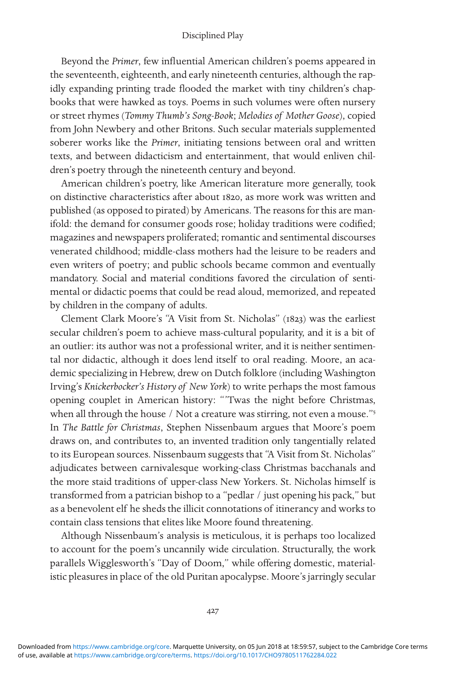Beyond the *Primer*, few influential American children's poems appeared in the seventeenth, eighteenth, and early nineteenth centuries, although the rapidly expanding printing trade flooded the market with tiny children's chapbooks that were hawked as toys. Poems in such volumes were often nursery or street rhymes ( *Tommy Thumb's Song-Book* ; *Melodies of Mother Goose* ), copied from John Newbery and other Britons. Such secular materials supplemented soberer works like the *Primer* , initiating tensions between oral and written texts, and between didacticism and entertainment, that would enliven children's poetry through the nineteenth century and beyond.

 American children's poetry, like American literature more generally, took on distinctive characteristics after about 1820, as more work was written and published (as opposed to pirated) by Americans. The reasons for this are manifold: the demand for consumer goods rose; holiday traditions were codified; magazines and newspapers proliferated; romantic and sentimental discourses venerated childhood; middle-class mothers had the leisure to be readers and even writers of poetry; and public schools became common and eventually mandatory. Social and material conditions favored the circulation of sentimental or didactic poems that could be read aloud, memorized, and repeated by children in the company of adults.

 Clement Clark Moore's "A Visit from St. Nicholas" (1823) was the earliest secular children's poem to achieve mass-cultural popularity, and it is a bit of an outlier: its author was not a professional writer, and it is neither sentimental nor didactic, although it does lend itself to oral reading. Moore, an academic specializing in Hebrew, drew on Dutch folklore (including Washington Irving's *Knickerbocker's History of New York* ) to write perhaps the most famous opening couplet in American history: " 'Twas the night before Christmas, when all through the house / Not a creature was stirring, not even a mouse."<sup>5</sup> In *The Battle for Christmas* , Stephen Nissenbaum argues that Moore's poem draws on, and contributes to, an invented tradition only tangentially related to its European sources. Nissenbaum suggests that "A Visit from St. Nicholas" adjudicates between carnivalesque working-class Christmas bacchanals and the more staid traditions of upper-class New Yorkers. St. Nicholas himself is transformed from a patrician bishop to a "pedlar / just opening his pack," but as a benevolent elf he sheds the illicit connotations of itinerancy and works to contain class tensions that elites like Moore found threatening.

 Although Nissenbaum's analysis is meticulous, it is perhaps too localized to account for the poem's uncannily wide circulation. Structurally, the work parallels Wigglesworth's "Day of Doom," while offering domestic, materialistic pleasures in place of the old Puritan apocalypse. Moore's jarringly secular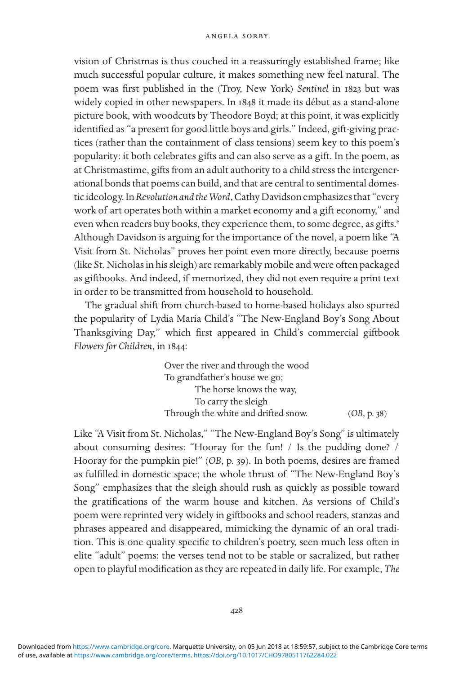vision of Christmas is thus couched in a reassuringly established frame; like much successful popular culture, it makes something new feel natural. The poem was first published in the (Troy, New York) *Sentinel* in 1823 but was widely copied in other newspapers. In 1848 it made its début as a stand-alone picture book, with woodcuts by Theodore Boyd; at this point, it was explicitly identified as "a present for good little boys and girls." Indeed, gift-giving practices (rather than the containment of class tensions) seem key to this poem's popularity: it both celebrates gifts and can also serve as a gift. In the poem, as at Christmastime, gifts from an adult authority to a child stress the intergenerational bonds that poems can build, and that are central to sentimental domestic ideology. In *Revolution and the Word* , Cathy Davidson emphasizes that "every work of art operates both within a market economy and a gift economy," and even when readers buy books, they experience them, to some degree, as gifts.<sup>6</sup> Although Davidson is arguing for the importance of the novel, a poem like "A Visit from St. Nicholas" proves her point even more directly, because poems (like St. Nicholas in his sleigh) are remarkably mobile and were often packaged as giftbooks. And indeed, if memorized, they did not even require a print text in order to be transmitted from household to household.

 The gradual shift from church-based to home-based holidays also spurred the popularity of Lydia Maria Child's "The New-England Boy's Song About Thanksgiving Day," which first appeared in Child's commercial giftbook *Flowers for Children* , in 1844:

> Over the river and through the wood To grandfather's house we go; The horse knows the way, To carry the sleigh Through the white and drifted snow. (OB, p. 38)

 Like "A Visit from St. Nicholas," "The New-England Boy's Song" is ultimately about consuming desires: "Hooray for the fun! / Is the pudding done? / Hooray for the pumpkin pie!" (OB, p. 39). In both poems, desires are framed as fulfilled in domestic space; the whole thrust of "The New-England Boy's Song" emphasizes that the sleigh should rush as quickly as possible toward the gratifications of the warm house and kitchen. As versions of Child's poem were reprinted very widely in giftbooks and school readers, stanzas and phrases appeared and disappeared, mimicking the dynamic of an oral tradition. This is one quality specific to children's poetry, seen much less often in elite "adult" poems: the verses tend not to be stable or sacralized, but rather open to playful modification as they are repeated in daily life. For example, *The*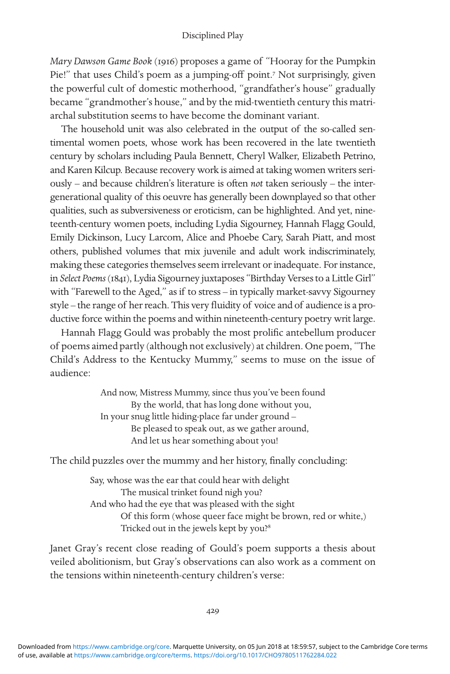*Mary Dawson Game Book* (1916) proposes a game of "Hooray for the Pumpkin Pie!" that uses Child's poem as a jumping-off point.<sup>7</sup> Not surprisingly, given the powerful cult of domestic motherhood, "grandfather's house" gradually became "grandmother's house," and by the mid-twentieth century this matriarchal substitution seems to have become the dominant variant .

 The household unit was also celebrated in the output of the so-called sentimental women poets, whose work has been recovered in the late twentieth century by scholars including Paula Bennett, Cheryl Walker, Elizabeth Petrino, and Karen Kilcup. Because recovery work is aimed at taking women writers seriously – and because children's literature is often *not* taken seriously – the intergenerational quality of this oeuvre has generally been downplayed so that other qualities, such as subversiveness or eroticism, can be highlighted. And yet, nineteenth-century women poets, including Lydia Sigourney, Hannah Flagg Gould, Emily Dickinson, Lucy Larcom, Alice and Phoebe Cary, Sarah Piatt, and most others, published volumes that mix juvenile and adult work indiscriminately, making these categories themselves seem irrelevant or inadequate. For instance, in *Select Poems* (1841), Lydia Sigourney juxtaposes "Birthday Verses to a Little Girl" with "Farewell to the Aged," as if to stress – in typically market-savvy Sigourney style – the range of her reach. This very l uidity of voice and of audience is a productive force within the poems and within nineteenth-century poetry writ large.

Hannah Flagg Gould was probably the most prolific antebellum producer of poems aimed partly (although not exclusively) at children. One poem, "The Child's Address to the Kentucky Mummy," seems to muse on the issue of audience:

> And now, Mistress Mummy, since thus you've been found By the world, that has long done without you, In your snug little hiding-place far under ground – Be pleased to speak out, as we gather around, And let us hear something about you!

The child puzzles over the mummy and her history, finally concluding:

 Say, whose was the ear that could hear with delight The musical trinket found nigh you? And who had the eye that was pleased with the sight Of this form (whose queer face might be brown, red or white,) Tricked out in the jewels kept by you?<sup>8</sup>

 Janet Gray's recent close reading of Gould's poem supports a thesis about veiled abolitionism, but Gray's observations can also work as a comment on the tensions within nineteenth-century children's verse: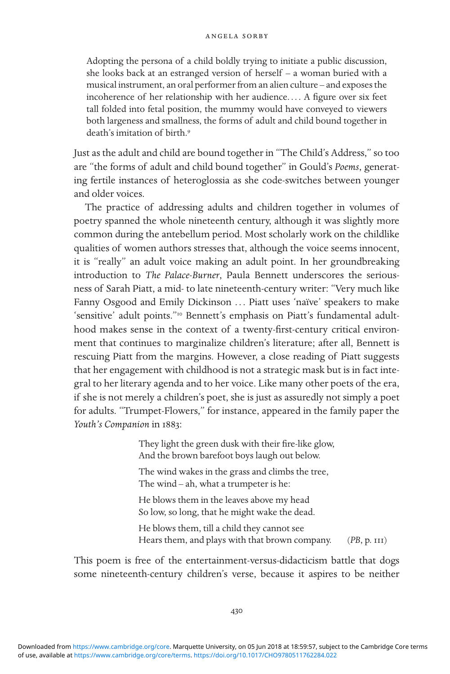Adopting the persona of a child boldly trying to initiate a public discussion, she looks back at an estranged version of herself – a woman buried with a musical instrument, an oral performer from an alien culture – and exposes the incoherence of her relationship with her audience.... A figure over six feet tall folded into fetal position, the mummy would have conveyed to viewers both largeness and smallness, the forms of adult and child bound together in death's imitation of birth. <sup>9</sup>

 Just as the adult and child are bound together in "The Child's Address," so too are "the forms of adult and child bound together" in Gould's *Poems* , generating fertile instances of heteroglossia as she code-switches between younger and older voices.

 The practice of addressing adults and children together in volumes of poetry spanned the whole nineteenth century, although it was slightly more common during the antebellum period. Most scholarly work on the childlike qualities of women authors stresses that, although the voice seems innocent, it is "really" an adult voice making an adult point. In her groundbreaking introduction to *The Palace-Burner* , Paula Bennett underscores the seriousness of Sarah Piatt, a mid- to late nineteenth-century writer: "Very much like Fanny Osgood and Emily Dickinson ... Piatt uses 'naïve' speakers to make 'sensitive' adult points."<sup>10</sup> Bennett's emphasis on Piatt's fundamental adulthood makes sense in the context of a twenty-first-century critical environment that continues to marginalize children's literature; after all, Bennett is rescuing Piatt from the margins. However, a close reading of Piatt suggests that her engagement with childhood is not a strategic mask but is in fact integral to her literary agenda and to her voice. Like many other poets of the era, if she is not merely a children's poet, she is just as assuredly not simply a poet for adults. "Trumpet-Flowers," for instance, appeared in the family paper the *Youth's Companion* in 1883:

> They light the green dusk with their fire-like glow, And the brown barefoot boys laugh out below.

 The wind wakes in the grass and climbs the tree, The wind – ah, what a trumpeter is he:

 He blows them in the leaves above my head So low, so long, that he might wake the dead.

 He blows them, till a child they cannot see Hears them, and plays with that brown company. (*PB*, p. 111)

 This poem is free of the entertainment-versus-didacticism battle that dogs some nineteenth-century children's verse, because it aspires to be neither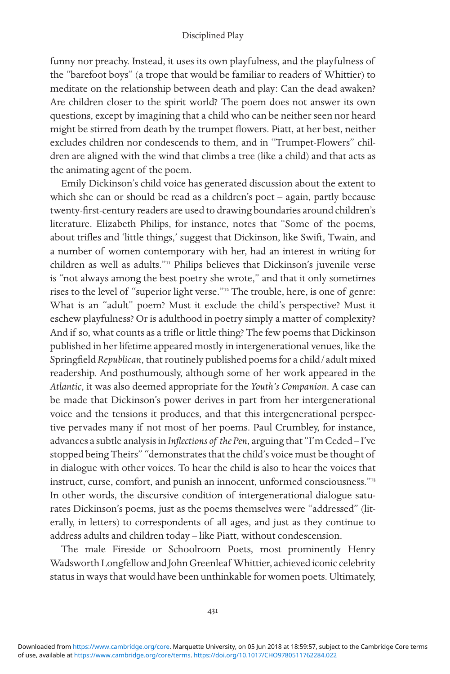funny nor preachy. Instead, it uses its own playfulness, and the playfulness of the "barefoot boys" (a trope that would be familiar to readers of Whittier) to meditate on the relationship between death and play: Can the dead awaken? Are children closer to the spirit world? The poem does not answer its own questions, except by imagining that a child who can be neither seen nor heard might be stirred from death by the trumpet flowers. Piatt, at her best, neither excludes children nor condescends to them, and in "Trumpet-Flowers" children are aligned with the wind that climbs a tree (like a child) and that acts as the animating agent of the poem.

 Emily Dickinson's child voice has generated discussion about the extent to which she can or should be read as a children's poet – again, partly because twenty-first-century readers are used to drawing boundaries around children's literature. Elizabeth Philips, for instance, notes that "Some of the poems, about trifles and 'little things,' suggest that Dickinson, like Swift, Twain, and a number of women contemporary with her, had an interest in writing for children as well as adults."<sup>II</sup> Philips believes that Dickinson's juvenile verse is "not always among the best poetry she wrote," and that it only sometimes rises to the level of "superior light verse."<sup>12</sup> The trouble, here, is one of genre: What is an "adult" poem? Must it exclude the child's perspective? Must it eschew playfulness? Or is adulthood in poetry simply a matter of complexity? And if so, what counts as a trifle or little thing? The few poems that Dickinson published in her lifetime appeared mostly in intergenerational venues, like the Springfield *Republican*, that routinely published poems for a child/adult mixed readership. And posthumously, although some of her work appeared in the *Atlantic* , it was also deemed appropriate for the *Youth's Companion* . A case can be made that Dickinson's power derives in part from her intergenerational voice and the tensions it produces, and that this intergenerational perspective pervades many if not most of her poems. Paul Crumbley, for instance, advances a subtle analysis in *Inflections of the Pen*, arguing that "I'm Ceded-I've stopped being Theirs" "demonstrates that the child's voice must be thought of in dialogue with other voices. To hear the child is also to hear the voices that instruct, curse, comfort, and punish an innocent, unformed consciousness."<sup>13</sup> In other words, the discursive condition of intergenerational dialogue saturates Dickinson's poems, just as the poems themselves were "addressed" (literally, in letters) to correspondents of all ages, and just as they continue to address adults and children today – like Piatt, without condescension .

 The male Fireside or Schoolroom Poets, most prominently Henry Wadsworth Longfellow and John Greenleaf Whittier, achieved iconic celebrity status in ways that would have been unthinkable for women poets. Ultimately,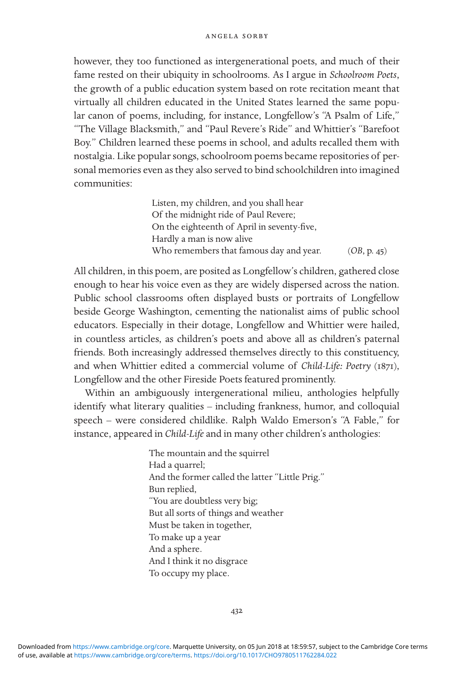however, they too functioned as intergenerational poets, and much of their fame rested on their ubiquity in schoolrooms. As I argue in *Schoolroom Poets* , the growth of a public education system based on rote recitation meant that virtually all children educated in the United States learned the same popular canon of poems, including, for instance, Longfellow's "A Psalm of Life," "The Village Blacksmith," and "Paul Revere's Ride" and Whittier's "Barefoot Boy." Children learned these poems in school, and adults recalled them with nostalgia. Like popular songs, schoolroom poems became repositories of personal memories even as they also served to bind schoolchildren into imagined communities:

> Listen, my children, and you shall hear Of the midnight ride of Paul Revere; On the eighteenth of April in seventy-five, Hardly a man is now alive Who remembers that famous day and year. (*OB*, p. 45)

 All children, in this poem, are posited as Longfellow's children, gathered close enough to hear his voice even as they are widely dispersed across the nation. Public school classrooms often displayed busts or portraits of Longfellow beside George Washington, cementing the nationalist aims of public school educators. Especially in their dotage, Longfellow and Whittier were hailed, in countless articles, as children's poets and above all as children's paternal friends. Both increasingly addressed themselves directly to this constituency, and when Whittier edited a commercial volume of *Child-Life: Poetry* (1871), Longfellow and the other Fireside Poets featured prominently.

 Within an ambiguously intergenerational milieu, anthologies helpfully identify what literary qualities – including frankness, humor, and colloquial speech – were considered childlike. Ralph Waldo Emerson's "A Fable," for instance, appeared in *Child-Life* and in many other children's anthologies:

> The mountain and the squirrel Had a quarrel; And the former called the latter "Little Prig." Bun replied, "You are doubtless very big; But all sorts of things and weather Must be taken in together, To make up a year And a sphere. And I think it no disgrace To occupy my place.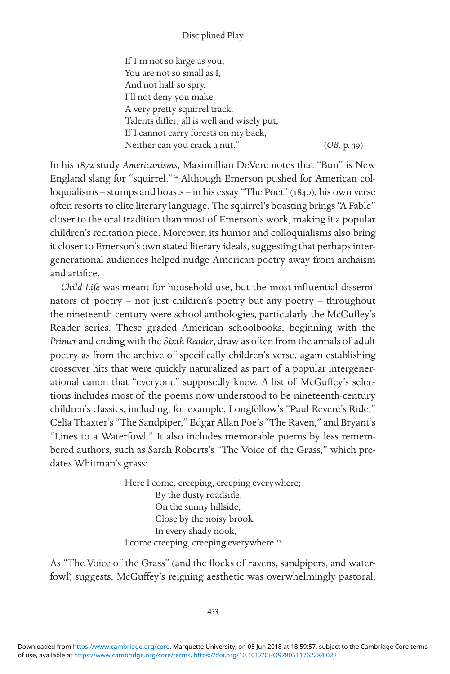If I'm not so large as you, You are not so small as I, And not half so spry. I'll not deny you make A very pretty squirrel track; Talents differ; all is well and wisely put; If I cannot carry forests on my back, Neither can you crack a nut." (OB, p. 39)

 In his 1872 study *Americanisms* , Maximillian DeVere notes that "Bun" is New England slang for "squirrel."<sup>14</sup> Although Emerson pushed for American colloquialisms – stumps and boasts – in his essay "The Poet" (1840), his own verse often resorts to elite literary language. The squirrel's boasting brings "A Fable" closer to the oral tradition than most of Emerson's work, making it a popular children's recitation piece. Moreover, its humor and colloquialisms also bring it closer to Emerson's own stated literary ideals, suggesting that perhaps intergenerational audiences helped nudge American poetry away from archaism and artifice.

*Child-Life* was meant for household use, but the most influential disseminators of poetry – not just children's poetry but any poetry – throughout the nineteenth century were school anthologies, particularly the McGuffey's Reader series. These graded American schoolbooks, beginning with the *Primer* and ending with the *Sixth Reader* , draw as often from the annals of adult poetry as from the archive of specifically children's verse, again establishing crossover hits that were quickly naturalized as part of a popular intergenerational canon that "everyone" supposedly knew. A list of McGuffey's selections includes most of the poems now understood to be nineteenth-century children's classics, including, for example, Longfellow's "Paul Revere's Ride," Celia Thaxter's "The Sandpiper," Edgar Allan Poe's "The Raven," and Bryant's "Lines to a Waterfowl." It also includes memorable poems by less remembered authors, such as Sarah Roberts's "The Voice of the Grass," which predates Whitman's grass:

> Here I come, creeping, creeping everywhere; By the dusty roadside, On the sunny hillside, Close by the noisy brook, In every shady nook, I come creeping, creeping everywhere. <sup>15</sup>

As "The Voice of the Grass" (and the flocks of ravens, sandpipers, and waterfowl) suggests, McGuffey's reigning aesthetic was overwhelmingly pastoral,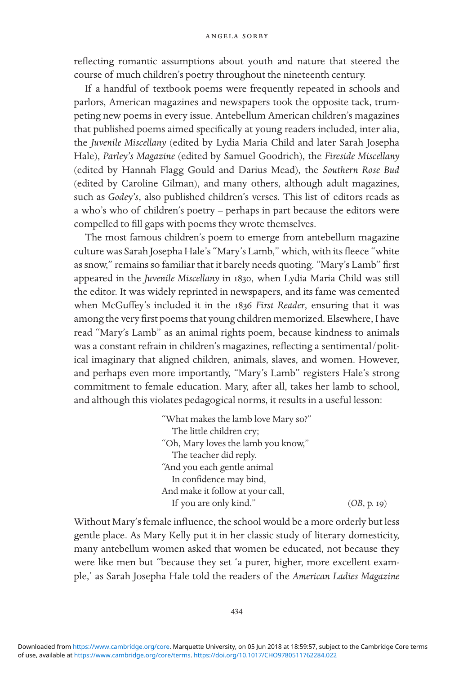reflecting romantic assumptions about youth and nature that steered the course of much children's poetry throughout the nineteenth century .

 If a handful of textbook poems were frequently repeated in schools and parlors, American magazines and newspapers took the opposite tack, trumpeting new poems in every issue. Antebellum American children's magazines that published poems aimed specifically at young readers included, inter alia, the *Juvenile Miscellany* (edited by Lydia Maria Child and later Sarah Josepha Hale), *Parley's Magazine* (edited by Samuel Goodrich), the *Fireside Miscellany* (edited by Hannah Flagg Gould and Darius Mead), the *Southern Rose Bud* (edited by Caroline Gilman), and many others, although adult magazines, such as *Godey's* , also published children's verses. This list of editors reads as a who's who of children's poetry – perhaps in part because the editors were compelled to fill gaps with poems they wrote themselves.

 The most famous children's poem to emerge from antebellum magazine culture was Sarah Josepha Hale's "Mary's Lamb," which, with its fleece "white as snow," remains so familiar that it barely needs quoting. "Mary's Lamb" first appeared in the *Juvenile Miscellany* in 1830, when Lydia Maria Child was still the editor. It was widely reprinted in newspapers, and its fame was cemented when McGuffey's included it in the 1836 *First Reader*, ensuring that it was among the very first poems that young children memorized. Elsewhere, I have read "Mary's Lamb" as an animal rights poem, because kindness to animals was a constant refrain in children's magazines, reflecting a sentimental/political imaginary that aligned children, animals, slaves, and women. However, and perhaps even more importantly, "Mary's Lamb" registers Hale's strong commitment to female education. Mary, after all, takes her lamb to school, and although this violates pedagogical norms, it results in a useful lesson:

> "What makes the lamb love Mary so?" The little children cry; "Oh, Mary loves the lamb you know," The teacher did reply. "And you each gentle animal In confidence may bind, And make it follow at your call, If you are only kind." (*OB*, p. 19)

Without Mary's female influence, the school would be a more orderly but less gentle place. As Mary Kelly put it in her classic study of literary domesticity, many antebellum women asked that women be educated, not because they were like men but "because they set 'a purer, higher, more excellent example,' as Sarah Josepha Hale told the readers of the *American Ladies Magazine*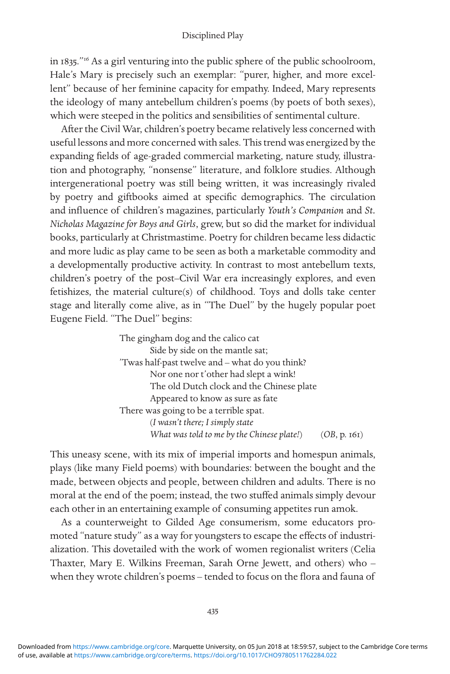in 1835." <sup>16</sup> As a girl venturing into the public sphere of the public schoolroom, Hale's Mary is precisely such an exemplar: "purer, higher, and more excellent" because of her feminine capacity for empathy. Indeed, Mary represents the ideology of many antebellum children's poems (by poets of both sexes), which were steeped in the politics and sensibilities of sentimental culture.

 After the Civil War, children's poetry became relatively less concerned with useful lessons and more concerned with sales. This trend was energized by the expanding fields of age-graded commercial marketing, nature study, illustration and photography, "nonsense" literature, and folklore studies. Although intergenerational poetry was still being written, it was increasingly rivaled by poetry and giftbooks aimed at specific demographics. The circulation and influence of children's magazines, particularly *Youth's Companion* and *St*. *Nicholas Magazine for Boys and Girls* , grew, but so did the market for individual books, particularly at Christmastime. Poetry for children became less didactic and more ludic as play came to be seen as both a marketable commodity and a developmentally productive activity. In contrast to most antebellum texts, children's poetry of the post–Civil War era increasingly explores, and even fetishizes, the material culture(s) of childhood. Toys and dolls take center stage and literally come alive, as in "The Duel" by the hugely popular poet Eugene Field. "The Duel" begins:

> The gingham dog and the calico cat Side by side on the mantle sat; 'Twas half-past twelve and – what do you think? Nor one nor t'other had slept a wink! The old Dutch clock and the Chinese plate Appeared to know as sure as fate There was going to be a terrible spat. ( *I wasn't there; I simply state What was told to me by the Chinese plate!* (*OB*, p. 161)

 This uneasy scene, with its mix of imperial imports and homespun animals, plays (like many Field poems) with boundaries: between the bought and the made, between objects and people, between children and adults. There is no moral at the end of the poem; instead, the two stuffed animals simply devour each other in an entertaining example of consuming appetites run amok.

 As a counterweight to Gilded Age consumerism, some educators promoted "nature study" as a way for youngsters to escape the effects of industrialization. This dovetailed with the work of women regionalist writers (Celia Thaxter, Mary E. Wilkins Freeman, Sarah Orne Jewett, and others) who – when they wrote children's poems – tended to focus on the flora and fauna of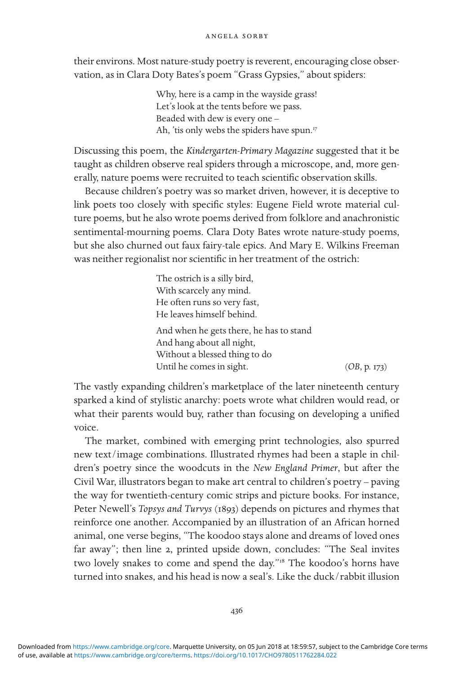their environs. Most nature-study poetry is reverent, encouraging close observation, as in Clara Doty Bates's poem "Grass Gypsies," about spiders:

> Why, here is a camp in the wayside grass! Let's look at the tents before we pass. Beaded with dew is every one – Ah, 'tis only webs the spiders have spun.<sup>17</sup>

 Discussing this poem, the *Kindergarten-Primary Magazine* suggested that it be taught as children observe real spiders through a microscope, and, more generally, nature poems were recruited to teach scientific observation skills.

 Because children's poetry was so market driven, however, it is deceptive to link poets too closely with specific styles: Eugene Field wrote material culture poems, but he also wrote poems derived from folklore and anachronistic sentimental-mourning poems. Clara Doty Bates wrote nature-study poems, but she also churned out faux fairy-tale epics. And Mary E. Wilkins Freeman was neither regionalist nor scientific in her treatment of the ostrich:

| The ostrich is a silly bird,            |              |
|-----------------------------------------|--------------|
| With scarcely any mind.                 |              |
| He often runs so very fast,             |              |
| He leaves himself behind.               |              |
| And when he gets there, he has to stand |              |
| And hang about all night,               |              |
| Without a blessed thing to do           |              |
| Until he comes in sight.                | (OB, p. 173) |

 The vastly expanding children's marketplace of the later nineteenth century sparked a kind of stylistic anarchy: poets wrote what children would read, or what their parents would buy, rather than focusing on developing a unified voice.

 The market, combined with emerging print technologies, also spurred new text/image combinations. Illustrated rhymes had been a staple in children's poetry since the woodcuts in the *New England Primer* , but after the Civil War, illustrators began to make art central to children's poetry – paving the way for twentieth-century comic strips and picture books. For instance, Peter Newell's *Topsys and Turvys* (1893) depends on pictures and rhymes that reinforce one another. Accompanied by an illustration of an African horned animal, one verse begins, "The koodoo stays alone and dreams of loved ones far away"; then line 2, printed upside down, concludes: "The Seal invites two lovely snakes to come and spend the day."<sup>18</sup> The koodoo's horns have turned into snakes, and his head is now a seal's. Like the duck/rabbit illusion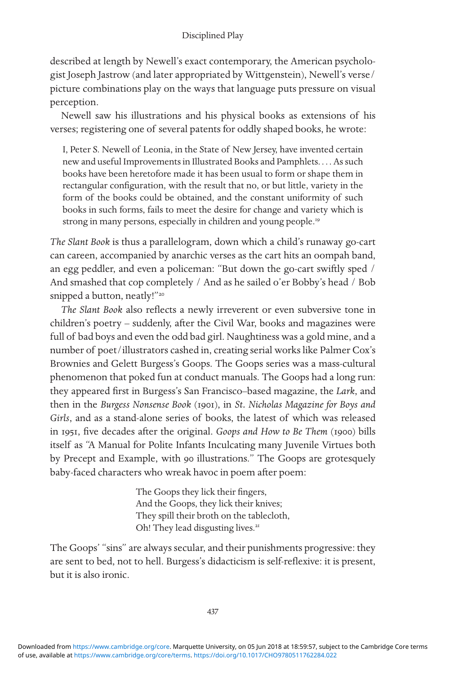described at length by Newell's exact contemporary, the American psychologist Joseph Jastrow (and later appropriated by Wittgenstein), Newell's verse/ picture combinations play on the ways that language puts pressure on visual perception.

 Newell saw his illustrations and his physical books as extensions of his verses; registering one of several patents for oddly shaped books, he wrote:

 I, Peter S. Newell of Leonia, in the State of New Jersey, have invented certain new and useful Improvements in Illustrated Books and Pamphlets. . . . As such books have been heretofore made it has been usual to form or shape them in rectangular configuration, with the result that no, or but little, variety in the form of the books could be obtained, and the constant uniformity of such books in such forms, fails to meet the desire for change and variety which is strong in many persons, especially in children and young people.<sup>19</sup>

*The Slant Book* is thus a parallelogram, down which a child's runaway go-cart can careen, accompanied by anarchic verses as the cart hits an oompah band, an egg peddler, and even a policeman: "But down the go-cart swiftly sped / And smashed that cop completely / And as he sailed o'er Bobby's head / Bob snipped a button, neatly!"<sup>20</sup>

The Slant Book also reflects a newly irreverent or even subversive tone in children's poetry – suddenly, after the Civil War, books and magazines were full of bad boys and even the odd bad girl. Naughtiness was a gold mine, and a number of poet/illustrators cashed in, creating serial works like Palmer Cox's Brownies and Gelett Burgess's Goops. The Goops series was a mass-cultural phenomenon that poked fun at conduct manuals. The Goops had a long run: they appeared first in Burgess's San Francisco-based magazine, the *Lark*, and then in the *Burgess Nonsense Book* (1901), in *St. Nicholas Magazine for Boys and Girls* , and as a stand-alone series of books, the latest of which was released in 1951, five decades after the original. Goops and How to Be Them (1900) bills itself as "A Manual for Polite Infants Inculcating many Juvenile Virtues both by Precept and Example, with 90 illustrations." The Goops are grotesquely baby-faced characters who wreak havoc in poem after poem:

> The Goops they lick their fingers, And the Goops, they lick their knives; They spill their broth on the tablecloth, Oh! They lead disgusting lives.<sup>21</sup>

 The Goops' "sins" are always secular, and their punishments progressive: they are sent to bed, not to hell. Burgess's didacticism is self-reflexive: it is present, but it is also ironic.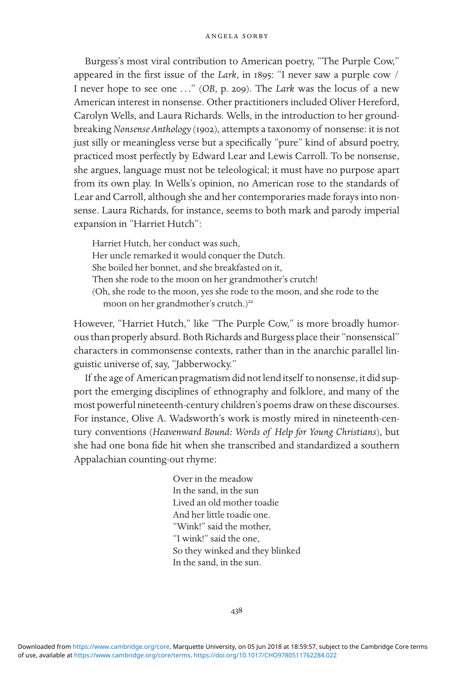Burgess's most viral contribution to American poetry, "The Purple Cow," appeared in the first issue of the *Lark*, in 1895: "I never saw a purple cow / I never hope to see one ..." (OB, p. 209). The *Lark* was the locus of a new American interest in nonsense. Other practitioners included Oliver Hereford, Carolyn Wells, and Laura Richards. Wells, in the introduction to her groundbreaking *Nonsense Anthology* (1902), attempts a taxonomy of nonsense: it is not just silly or meaningless verse but a specifically "pure" kind of absurd poetry, practiced most perfectly by Edward Lear and Lewis Carroll. To be nonsense, she argues, language must not be teleological; it must have no purpose apart from its own play. In Wells's opinion, no American rose to the standards of Lear and Carroll, although she and her contemporaries made forays into nonsense. Laura Richards, for instance, seems to both mark and parody imperial expansion in "Harriet Hutch":

 Harriet Hutch, her conduct was such, Her uncle remarked it would conquer the Dutch. She boiled her bonnet, and she breakfasted on it, Then she rode to the moon on her grandmother's crutch! (Oh, she rode to the moon, yes she rode to the moon, and she rode to the moon on her grandmother's crutch.)<sup>22</sup>

 However, "Harriet Hutch," like "The Purple Cow," is more broadly humorous than properly absurd. Both Richards and Burgess place their "nonsensical" characters in commonsense contexts, rather than in the anarchic parallel linguistic universe of, say, "Jabberwocky ."

 If the age of American pragmatism did not lend itself to nonsense, it did support the emerging disciplines of ethnography and folklore, and many of the most powerful nineteenth-century children's poems draw on these discourses. For instance, Olive A. Wadsworth's work is mostly mired in nineteenth-century conventions ( *Heavenward Bound: Words of Help for Young Christians* ), but she had one bona fide hit when she transcribed and standardized a southern Appalachian counting-out rhyme:

> Over in the meadow In the sand, in the sun Lived an old mother toadie And her little toadie one. "Wink!" said the mother, "I wink!" said the one, So they winked and they blinked In the sand, in the sun.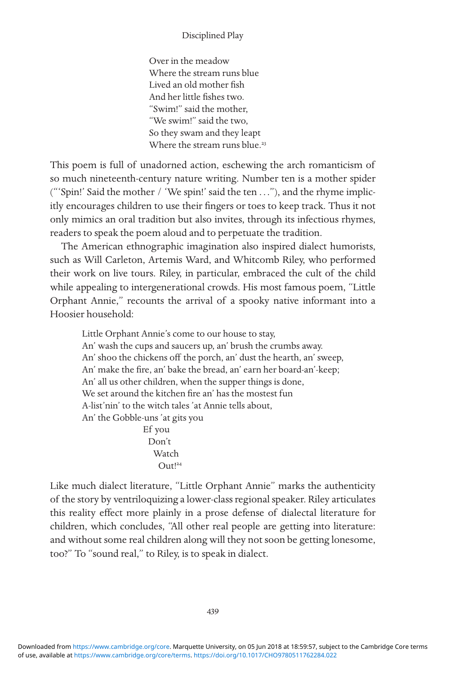Over in the meadow Where the stream runs blue Lived an old mother fish And her little fishes two. "Swim!" said the mother, "We swim!" said the two, So they swam and they leapt Where the stream runs blue.<sup>23</sup>

 This poem is full of unadorned action, eschewing the arch romanticism of so much nineteenth-century nature writing. Number ten is a mother spider (" 'Spin!' Said the mother / 'We spin!' said the ten . . ."), and the rhyme implicitly encourages children to use their fingers or toes to keep track. Thus it not only mimics an oral tradition but also invites, through its infectious rhymes, readers to speak the poem aloud and to perpetuate the tradition.

 The American ethnographic imagination also inspired dialect humorists, such as Will Carleton, Artemis Ward, and Whitcomb Riley, who performed their work on live tours. Riley, in particular, embraced the cult of the child while appealing to intergenerational crowds. His most famous poem, "Little Orphant Annie," recounts the arrival of a spooky native informant into a Hoosier household:

 Little Orphant Annie's come to our house to stay, An' wash the cups and saucers up, an' brush the crumbs away. An' shoo the chickens off the porch, an' dust the hearth, an' sweep, An' make the fire, an' bake the bread, an' earn her board-an'-keep; An' all us other children, when the supper things is done, We set around the kitchen fire an' has the mostest fun A-list'nin' to the witch tales 'at Annie tells about, An' the Gobble-uns 'at gits you Ef you Don't

 Watch  $Out!^{24}$ 

 Like much dialect literature, "Little Orphant Annie" marks the authenticity of the story by ventriloquizing a lower-class regional speaker. Riley articulates this reality effect more plainly in a prose defense of dialectal literature for children, which concludes, "All other real people are getting into literature: and without some real children along will they not soon be getting lonesome, too?" To "sound real," to Riley, is to speak in dialect.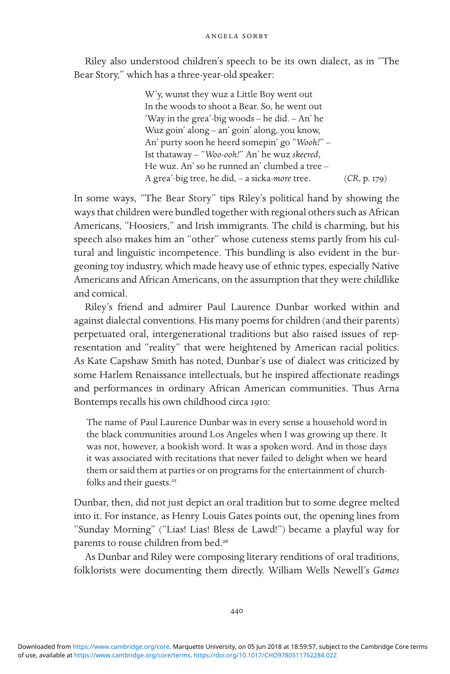Riley also understood children's speech to be its own dialect, as in "The Bear Story," which has a three-year-old speaker:

> W'y, wunst they wuz a Little Boy went out In the woods to shoot a Bear. So, he went out 'Way in the grea'-big woods – he did. – An' he Wuz goin' along – an' goin' along, you know, An' purty soon he heerd somepin' go " *Wooh!* " – Ist thataway – " *Woo-ooh!* " An' he wuz *skeered* , He wuz. An' so he runned an' clumbed a tree – A grea'-big tree, he did, – a sicka-*more* tree. (*CR*, p. 179)

 In some ways, "The Bear Story" tips Riley's political hand by showing the ways that children were bundled together with regional others such as African Americans, "Hoosiers," and Irish immigrants. The child is charming, but his speech also makes him an "other" whose cuteness stems partly from his cultural and linguistic incompetence. This bundling is also evident in the burgeoning toy industry, which made heavy use of ethnic types, especially Native Americans and African Americans, on the assumption that they were childlike and comical.

 Riley's friend and admirer Paul Laurence Dunbar worked within and against dialectal conventions. His many poems for children (and their parents) perpetuated oral, intergenerational traditions but also raised issues of representation and "reality" that were heightened by American racial politics. As Kate Capshaw Smith has noted, Dunbar's use of dialect was criticized by some Harlem Renaissance intellectuals, but he inspired affectionate readings and performances in ordinary African American communities. Thus Arna Bontemps recalls his own childhood circa 1910:

 The name of Paul Laurence Dunbar was in every sense a household word in the black communities around Los Angeles when I was growing up there. It was not, however, a bookish word. It was a spoken word. And in those days it was associated with recitations that never failed to delight when we heard them or said them at parties or on programs for the entertainment of churchfolks and their guests.<sup>25</sup>

 Dunbar, then, did not just depict an oral tradition but to some degree melted into it. For instance, as Henry Louis Gates points out, the opening lines from "Sunday Morning" ("Lias! Lias! Bless de Lawd!") became a playful way for parents to rouse children from bed.<sup>26</sup>

 As Dunbar and Riley were composing literary renditions of oral traditions, folklorists were documenting them directly. William Wells Newell's *Games*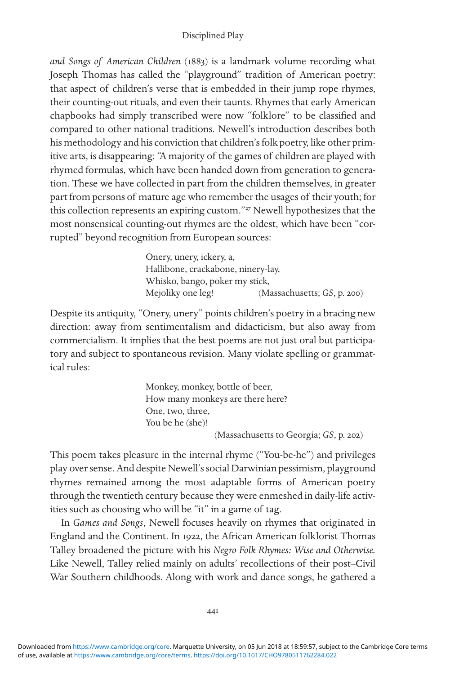*and Songs of American Children* (1883) is a landmark volume recording what Joseph Thomas has called the "playground" tradition of American poetry: that aspect of children's verse that is embedded in their jump rope rhymes, their counting-out rituals, and even their taunts. Rhymes that early American chapbooks had simply transcribed were now "folklore" to be classified and compared to other national traditions. Newell's introduction describes both his methodology and his conviction that children's folk poetry, like other primitive arts, is disappearing: "A majority of the games of children are played with rhymed formulas, which have been handed down from generation to generation. These we have collected in part from the children themselves, in greater part from persons of mature age who remember the usages of their youth; for this collection represents an expiring custom."<sup>27</sup> Newell hypothesizes that the most nonsensical counting-out rhymes are the oldest, which have been "corrupted" beyond recognition from European sources:

> Onery, unery, ickery, a, Hallibone, crackabone, ninery-lay, Whisko, bango, poker my stick, Mejoliky one leg! (Massachusetts; *GS*, p. 200)

 Despite its antiquity, "Onery, unery" points children's poetry in a bracing new direction: away from sentimentalism and didacticism, but also away from commercialism. It implies that the best poems are not just oral but participatory and subject to spontaneous revision. Many violate spelling or grammatical rules:

> Monkey, monkey, bottle of beer, How many monkeys are there here? One, two, three, You be he (she)!

(Massachusetts to Georgia; *GS* , p. 202)

 This poem takes pleasure in the internal rhyme ("You-be-he") and privileges play over sense. And despite Newell's social Darwinian pessimism, playground rhymes remained among the most adaptable forms of American poetry through the twentieth century because they were enmeshed in daily-life activities such as choosing who will be "it" in a game of tag.

 In *Games and Songs* , Newell focuses heavily on rhymes that originated in England and the Continent. In 1922, the African American folklorist Thomas Talley broadened the picture with his *Negro Folk Rhymes: Wise and Otherwise.* Like Newell, Talley relied mainly on adults' recollections of their post–Civil War Southern childhoods. Along with work and dance songs, he gathered a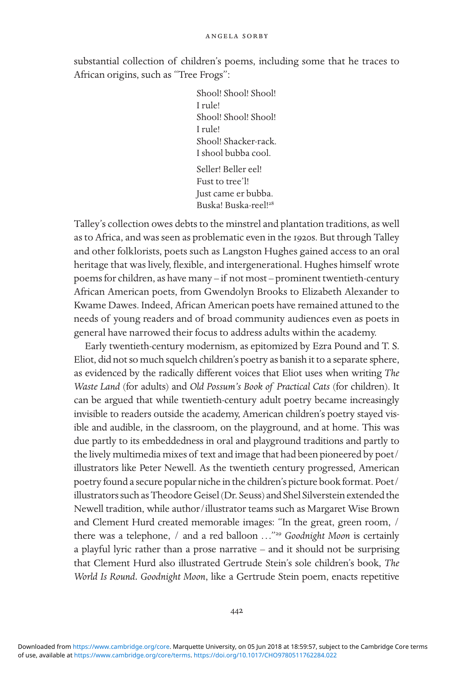substantial collection of children's poems, including some that he traces to African origins, such as "Tree Frogs":

> Shool! Shool! Shool! I rule! Shool! Shool! Shool! I rule! Shool! Shacker-rack. I shool bubba cool. Seller! Beller eel! Fust to tree'l! Just came er bubba. Buska! Buska-reel!<sup>28</sup>

 Talley's collection owes debts to the minstrel and plantation traditions, as well as to Africa, and was seen as problematic even in the 1920s. But through Talley and other folklorists, poets such as Langston Hughes gained access to an oral heritage that was lively, flexible, and intergenerational. Hughes himself wrote poems for children, as have many – if not most – prominent twentieth-century African American poets, from Gwendolyn Brooks to Elizabeth Alexander to Kwame Dawes. Indeed, African American poets have remained attuned to the needs of young readers and of broad community audiences even as poets in general have narrowed their focus to address adults within the academy .

 Early twentieth-century modernism, as epitomized by Ezra Pound and T. S. Eliot, did not so much squelch children's poetry as banish it to a separate sphere, as evidenced by the radically different voices that Eliot uses when writing *The Waste Land* (for adults) and *Old Possum's Book of Practical Cats* (for children). It can be argued that while twentieth-century adult poetry became increasingly invisible to readers outside the academy, American children's poetry stayed visible and audible, in the classroom, on the playground, and at home. This was due partly to its embeddedness in oral and playground traditions and partly to the lively multimedia mixes of text and image that had been pioneered by poet/ illustrators like Peter Newell. As the twentieth century progressed, American poetry found a secure popular niche in the children's picture book format. Poet/ illustrators such as Theodore Geisel (Dr. Seuss) and Shel Silverstein extended the Newell tradition, while author/illustrator teams such as Margaret Wise Brown and Clement Hurd created memorable images: "In the great, green room, / there was a telephone, / and a red balloon ...<sup>"29</sup> Goodnight Moon is certainly a playful lyric rather than a prose narrative – and it should not be surprising that Clement Hurd also illustrated Gertrude Stein's sole children's book, *The World Is Round. Goodnight Moon* , like a Gertrude Stein poem, enacts repetitive

442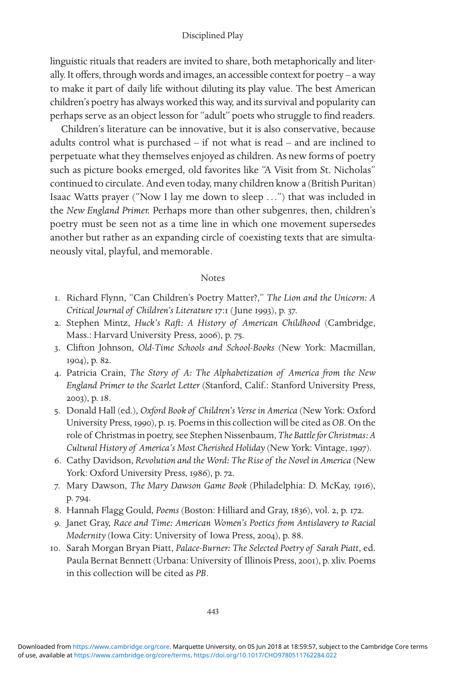linguistic rituals that readers are invited to share, both metaphorically and literally. It offers, through words and images, an accessible context for poetry  $-$  a way to make it part of daily life without diluting its play value. The best American children's poetry has always worked this way, and its survival and popularity can perhaps serve as an object lesson for "adult" poets who struggle to find readers.

 Children's literature can be innovative, but it is also conservative, because adults control what is purchased – if not what is read – and are inclined to perpetuate what they themselves enjoyed as children. As new forms of poetry such as picture books emerged, old favorites like "A Visit from St. Nicholas" continued to circulate. And even today, many children know a (British Puritan) Isaac Watts prayer ("Now I lay me down to sleep . . .") that was included in the *New England Primer.* Perhaps more than other subgenres, then, children's poetry must be seen not as a time line in which one movement supersedes another but rather as an expanding circle of coexisting texts that are simultaneously vital, playful, and memorable .

#### Notes

- 1. Richard Flynn , " Can Children's Poetry Matter? ," *The Lion and the Unicorn: A Critical Journal of Children's Literature* 17:1 (June 1993), p. 37.
- 2. Stephen Mintz, *Huck's Raft: A History of American Childhood* (Cambridge, Mass.: Harvard University Press, 2006), p. 75.
- 3. Clifton Johnson, *Old-Time Schools and School-Books* (New York: Macmillan, 1904), p. 82.
- 4. Patricia Crain , *The Story of A: The Alphabetization of America from the New England Primer to the Scarlet Letter* (Stanford, Calif.: Stanford University Press, 2003), p. 18.
- 5. Donald Hall (ed.), *Oxford Book of Children's Verse in America* (New York: Oxford University Press, 1990), p. 15. Poems in this collection will be cited as OB. On the role of Christmas in poetry, see Stephen Nissenbaum , *The Battle for Christmas: A Cultural History of America's Most Cherished Holiday* (New York: Vintage, 1997).
- 6. Cathy Davidson, Revolution and the Word: The Rise of the Novel in America (New York: Oxford University Press, 1986), p. 72.
- 7. Mary Dawson, *The Mary Dawson Game Book* (Philadelphia: D. McKay, 1916), p. 794.
- 8. Hannah Flagg Gould, *Poems* (Boston: Hilliard and Gray, 1836), vol. 2, p. 172.
- 9. Janet Gray, Race and Time: American Women's Poetics from Antislavery to Racial *Modernity* (Iowa City: University of Iowa Press, 2004), p. 88.
- 10. Sarah Morgan Bryan Piatt , *Palace-Burner: The Selected Poetry of Sarah Piatt* , ed. Paula Bernat Bennett (Urbana: University of Illinois Press, 2001), p. xliv. Poems in this collection will be cited as *PB* .